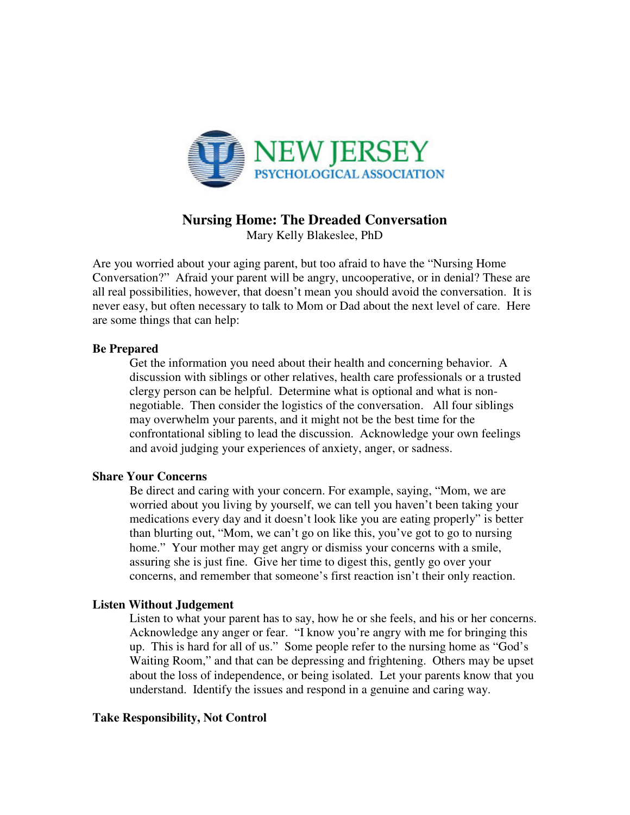

# **Nursing Home: The Dreaded Conversation**

Mary Kelly Blakeslee, PhD

Are you worried about your aging parent, but too afraid to have the "Nursing Home Conversation?" Afraid your parent will be angry, uncooperative, or in denial? These are all real possibilities, however, that doesn't mean you should avoid the conversation. It is never easy, but often necessary to talk to Mom or Dad about the next level of care. Here are some things that can help:

## **Be Prepared**

Get the information you need about their health and concerning behavior. A discussion with siblings or other relatives, health care professionals or a trusted clergy person can be helpful. Determine what is optional and what is nonnegotiable. Then consider the logistics of the conversation. All four siblings may overwhelm your parents, and it might not be the best time for the confrontational sibling to lead the discussion. Acknowledge your own feelings and avoid judging your experiences of anxiety, anger, or sadness.

## **Share Your Concerns**

Be direct and caring with your concern. For example, saying, "Mom, we are worried about you living by yourself, we can tell you haven't been taking your medications every day and it doesn't look like you are eating properly" is better than blurting out, "Mom, we can't go on like this, you've got to go to nursing home." Your mother may get angry or dismiss your concerns with a smile, assuring she is just fine. Give her time to digest this, gently go over your concerns, and remember that someone's first reaction isn't their only reaction.

## **Listen Without Judgement**

Listen to what your parent has to say, how he or she feels, and his or her concerns. Acknowledge any anger or fear. "I know you're angry with me for bringing this up. This is hard for all of us." Some people refer to the nursing home as "God's Waiting Room," and that can be depressing and frightening. Others may be upset about the loss of independence, or being isolated. Let your parents know that you understand. Identify the issues and respond in a genuine and caring way.

### **Take Responsibility, Not Control**